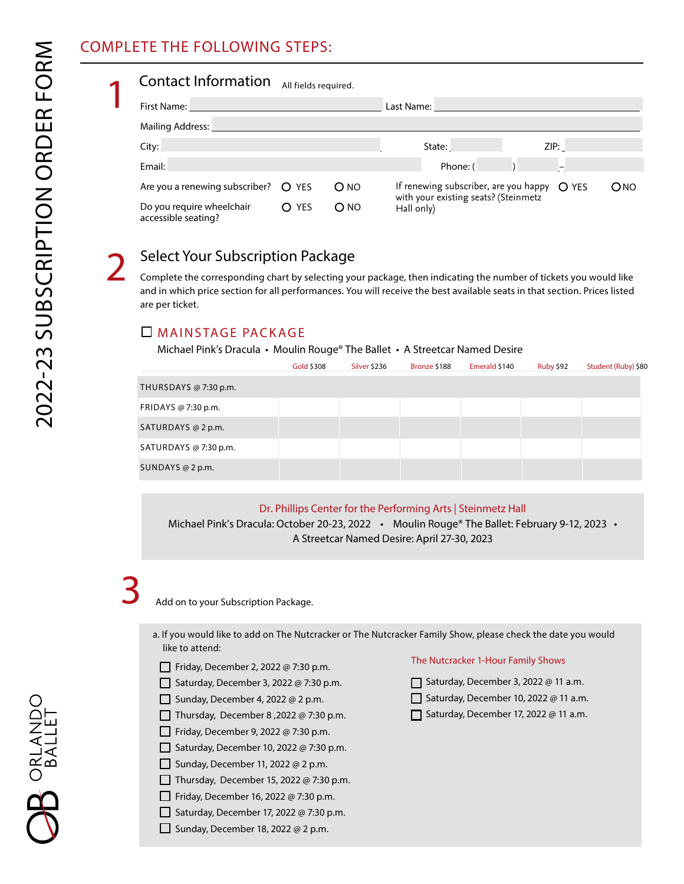## COMPLETE THE FOLLOWING STEPS:

| <b>Contact Information</b><br>All fields required. |                  |                 |                                                      |                |  |  |     |  |
|----------------------------------------------------|------------------|-----------------|------------------------------------------------------|----------------|--|--|-----|--|
| First Name:                                        |                  |                 |                                                      | Last Name:     |  |  |     |  |
| Mailing Address:                                   |                  |                 |                                                      |                |  |  |     |  |
| City:                                              |                  |                 |                                                      | ZIP:<br>State: |  |  |     |  |
| Email:                                             |                  |                 |                                                      | Phone: (       |  |  |     |  |
| Are you a renewing subscriber? $\bigcirc$ YES      |                  | O <sub>NO</sub> | If renewing subscriber, are you happy $\bigcirc$ YES |                |  |  | ONO |  |
| Do you require wheelchair<br>accessible seating?   | <b>YES</b><br>O. | $O$ NO          | with your existing seats? (Steinmetz<br>Hall only)   |                |  |  |     |  |

## Select Your Subscription Package

Complete the corresponding chart by selecting your package, then indicating the number of tickets you would like and in which price section for all performances. You will receive the best available seats in that section. Prices listed are per ticket.

#### MAINSTAGE PACKAGE

Michael Pink's Dracula • Moulin Rouge® The Ballet • A Streetcar Named Desire

|                       | Gold \$308 | Silver \$236 | Bronze \$188 | Emerald \$140 | Ruby \$92 | Student (Ruby) \$80 |
|-----------------------|------------|--------------|--------------|---------------|-----------|---------------------|
| THURSDAYS @ 7:30 p.m. |            |              |              |               |           |                     |
| FRIDAYS @ 7:30 p.m.   |            |              |              |               |           |                     |
| SATURDAYS @ 2 p.m.    |            |              |              |               |           |                     |
| SATURDAYS @ 7:30 p.m. |            |              |              |               |           |                     |
| SUNDAYS @ $2$ p.m.    |            |              |              |               |           |                     |

#### Dr. Phillips Center for the Performing Arts | Steinmetz Hall

Michael Pink's Dracula: October 20-23, 2022 • Moulin Rouge® The Ballet: February 9-12, 2023 • A Streetcar Named Desire: April 27-30, 2023

# 3

Add on to your Subscription Package.

- a. If you would like to add on The Nutcracker or The Nutcracker Family Show, please check the date you would like to attend:
	- $\Box$  Friday, December 2, 2022 @ 7:30 p.m.
	- Saturday, December 3, 2022 @ 7:30 p.m.
	- Sunday, December 4, 2022 @ 2 p.m.
	- Thursday, December 8, 2022 @ 7:30 p.m.
	- $\Box$  Friday, December 9, 2022 @ 7:30 p.m.
	- Saturday, December 10, 2022 @ 7:30 p.m.
	- Sunday, December 11, 2022 @ 2 p.m.
	- Thursday, December 15, 2022 @ 7:30 p.m.
	- $\Box$  Friday, December 16, 2022 @ 7:30 p.m.
	- Saturday, December 17, 2022 @ 7:30 p.m.
	- Sunday, December 18, 2022 @ 2 p.m.

#### The Nutcracker 1-Hour Family Shows

- Saturday, December 3, 2022 @ 11 a.m.
- Saturday, December 10, 2022 @ 11 a.m.
- $\Box$  Saturday, December 17, 2022 @ 11 a.m.

**B** orlando